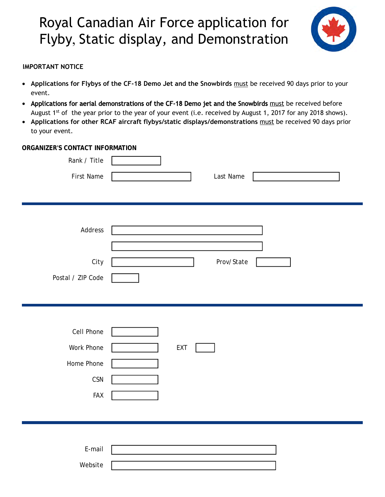# Royal Canadian Air Force application for Flyby, Static display, and Demonstration  $\overline{\phantom{a}}$ ر<br>م  $\overline{\phantom{a}}$



#### **IMPORTANT NOTICE**

- **Applications for Flybys of the CF-18 Demo Jet and the Snowbirds** must be received 90 days prior to your event.
- Applications for aerial demonstrations of the CF-18 Demo jet and the Snowbirds must be received before August 1<sup>st</sup> of the year prior to the year of your event (i.e. received by August 1, 2017 for any 2018 shows).
- **Applications for other RCAF aircraft flybys/static displays/demonstrations** must be received 90 days prior to your event.

#### **ORGANIZER'S CONTACT INFORMATION**

| Rank / Title<br>First Name                                  | Last Name  |
|-------------------------------------------------------------|------------|
| Address<br>City<br>Postal / ZIP Code                        | Prov/State |
| Cell Phone<br>Work Phone<br>Home Phone<br>CSN<br><b>FAX</b> | EXT        |
| $E$ -mail<br>Website                                        |            |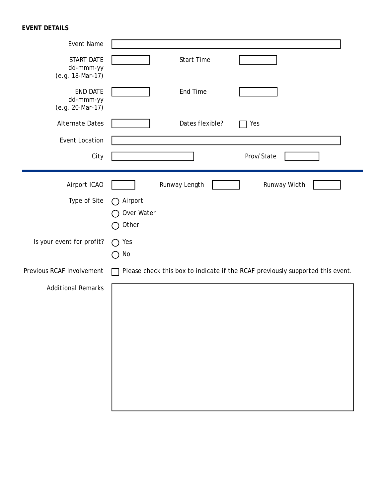# **EVENT DETAILS**

| Event Name                                       |                                                                                |
|--------------------------------------------------|--------------------------------------------------------------------------------|
| START DATE<br>dd-mmm-yy<br>(e.g. 18-Mar-17)      | <b>Start Time</b>                                                              |
| <b>END DATE</b><br>dd-mmm-yy<br>(e.g. 20-Mar-17) | End Time                                                                       |
| <b>Alternate Dates</b>                           | Dates flexible?<br>Yes                                                         |
| Event Location                                   |                                                                                |
| City                                             | Prov/State                                                                     |
| Airport ICAO                                     | Runway Length<br>Runway Width                                                  |
| Type of Site                                     | Airport<br>Over Water<br>Other                                                 |
| Is your event for profit?                        | Yes<br>$(\ )$<br>No<br>$\blacksquare$                                          |
| Previous RCAF Involvement                        | Please check this box to indicate if the RCAF previously supported this event. |
| <b>Additional Remarks</b>                        |                                                                                |
|                                                  |                                                                                |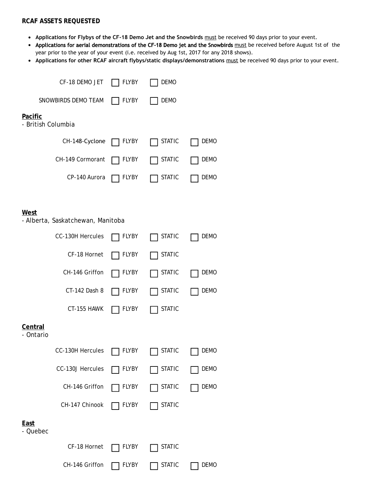### **RCAF ASSETS REQUESTED**

- **Applications for Flybys of the CF-18 Demo Jet and the Snowbirds** must be received 90 days prior to your event.
- Applications for aerial demonstrations of the CF-18 Demo jet and the Snowbirds must be received before August 1st of the year prior to the year of your event (i.e. received by Aug 1st, 2017 for any 2018 shows).
- **Applications for other RCAF aircraft flybys/static displays/demonstrations** must be received 90 days prior to your event.

| CF-18 DEMO JET                            | <b>FLYBY</b> | <b>DEMO</b>   |             |  |  |
|-------------------------------------------|--------------|---------------|-------------|--|--|
| SNOWBIRDS DEMO TEAM                       | <b>FLYBY</b> | DEMO          |             |  |  |
| <b>Pacific</b><br>- British Columbia      |              |               |             |  |  |
| CH-148-Cyclone                            | FLYBY        | <b>STATIC</b> | DEMO        |  |  |
| CH-149 Cormorant                          | <b>FLYBY</b> | <b>STATIC</b> | <b>DEMO</b> |  |  |
| CP-140 Aurora                             | FLYBY        | <b>STATIC</b> | DEMO        |  |  |
|                                           |              |               |             |  |  |
| West<br>- Alberta, Saskatchewan, Manitoba |              |               |             |  |  |
| CC-130H Hercules                          | <b>FLYBY</b> | <b>STATIC</b> | <b>DEMO</b> |  |  |
| CF-18 Hornet                              | FLYBY        | <b>STATIC</b> |             |  |  |
| CH-146 Griffon                            | FLYBY        | <b>STATIC</b> | DEMO        |  |  |
| CT-142 Dash 8                             | FLYBY        | <b>STATIC</b> | <b>DEMO</b> |  |  |
| CT-155 HAWK                               | FLYBY        | <b>STATIC</b> |             |  |  |
| Central<br>- Ontario                      |              |               |             |  |  |
| <b>CC-130H Hercules</b>                   | <b>FLYBY</b> | <b>STATIC</b> | <b>DEMO</b> |  |  |
| CC-130J Hercules                          | <b>FLYBY</b> | <b>STATIC</b> | <b>DEMO</b> |  |  |
| CH-146 Griffon                            | <b>FLYBY</b> | <b>STATIC</b> | <b>DEMO</b> |  |  |
| CH-147 Chinook                            | FLYBY        | <b>STATIC</b> |             |  |  |
| East<br>- Quebec                          |              |               |             |  |  |
| CF-18 Hornet                              | <b>FLYBY</b> | <b>STATIC</b> |             |  |  |
| CH-146 Griffon                            | <b>FLYBY</b> | <b>STATIC</b> | <b>DEMO</b> |  |  |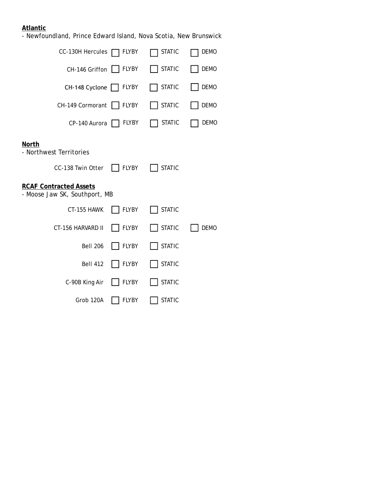## **Atlantic**

- Newfoundland, Prince Edward Island, Nova Scotia, New Brunswick

| CC-130H Hercules                                                                    | FLYBY        | <b>STATIC</b> | DEMO        |
|-------------------------------------------------------------------------------------|--------------|---------------|-------------|
| CH-146 Griffon                                                                      | <b>FLYBY</b> | <b>STATIC</b> | <b>DEMO</b> |
| $CH-148$ Cyclone $  $                                                               | <b>FLYBY</b> | <b>STATIC</b> | <b>DEMO</b> |
| CH-149 Cormorant                                                                    | <b>FLYBY</b> | <b>STATIC</b> | <b>DEMO</b> |
| CP-140 Aurora                                                                       | <b>FLYBY</b> | <b>STATIC</b> | DEMO        |
| <b>North</b><br>- Northwest Territories                                             | <b>FLYBY</b> | <b>STATIC</b> |             |
| CC-138 Twin Otter<br><b>RCAF Contracted Assets</b><br>- Moose Jaw SK, Southport, MB |              |               |             |
| CT-155 HAWK                                                                         | <b>FLYBY</b> | <b>STATIC</b> |             |
| CT-156 HARVARD II                                                                   | <b>FLYBY</b> | <b>STATIC</b> | <b>DEMO</b> |
| <b>Bell 206</b>                                                                     | <b>FLYBY</b> | <b>STATIC</b> |             |
| <b>Bell 412</b>                                                                     | <b>FLYBY</b> | <b>STATIC</b> |             |
| C-90B King Air                                                                      | <b>FLYBY</b> | <b>STATIC</b> |             |
| Grob 120A                                                                           | <b>FLYBY</b> | <b>STATIC</b> |             |